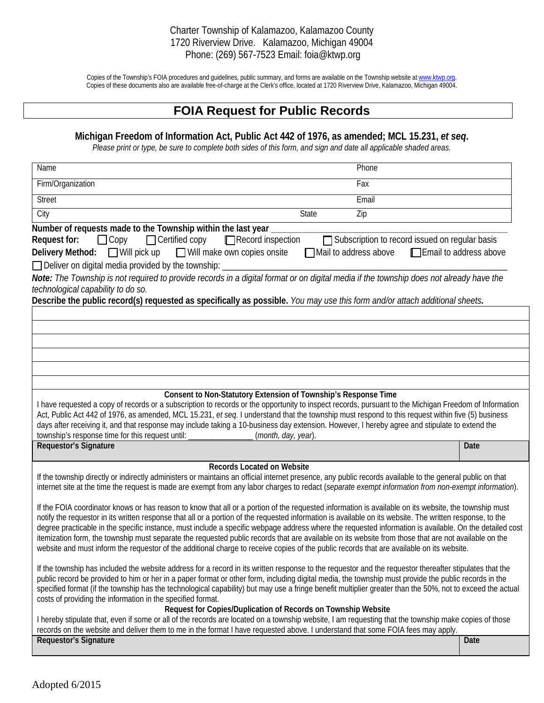## Charter Township of Kalamazoo, Kalamazoo County 1720 Riverview Drive. Kalamazoo, Michigan 49004 Phone: (269) 567-7523 Email: foia@ktwp.org

Copies of the Township's FOIA procedures and guidelines, public summary, and forms are available on the Township website at www.ktwp.org. Copies of these documents also are available free-of-charge at the Clerk's office, located at 1720 Riverview Drive, Kalamazoo, Michigan 49004.

## **FOIA Request for Public Records**

## **Michigan Freedom of Information Act, Public Act 442 of 1976, as amended; MCL 15.231,** *et seq***.**

*Please print or type, be sure to complete both sides of this form, and sign and date all applicable shaded areas.*

| Name                                                                                                                                                                                                                                                                                                               | Phone                                           |      |  |
|--------------------------------------------------------------------------------------------------------------------------------------------------------------------------------------------------------------------------------------------------------------------------------------------------------------------|-------------------------------------------------|------|--|
| Firm/Organization                                                                                                                                                                                                                                                                                                  | Fax                                             |      |  |
| <b>Street</b>                                                                                                                                                                                                                                                                                                      | Email                                           |      |  |
| City<br>State                                                                                                                                                                                                                                                                                                      | Zip                                             |      |  |
| Number of requests made to the Township within the last year                                                                                                                                                                                                                                                       |                                                 |      |  |
| $\Box$ Copy<br>$\Box$ Certified copy<br>$\Box$ Record inspection<br>Request for:                                                                                                                                                                                                                                   | Subscription to record issued on regular basis  |      |  |
| $\Box$ Will make own copies onsite<br><b>Delivery Method:</b> □ Will pick up                                                                                                                                                                                                                                       | Mail to address above<br>Email to address above |      |  |
| □ Deliver on digital media provided by the township: _______                                                                                                                                                                                                                                                       |                                                 |      |  |
| Note: The Township is not required to provide records in a digital format or on digital media if the township does not already have the                                                                                                                                                                            |                                                 |      |  |
| technological capability to do so.                                                                                                                                                                                                                                                                                 |                                                 |      |  |
| Describe the public record(s) requested as specifically as possible. You may use this form and/or attach additional sheets.                                                                                                                                                                                        |                                                 |      |  |
|                                                                                                                                                                                                                                                                                                                    |                                                 |      |  |
|                                                                                                                                                                                                                                                                                                                    |                                                 |      |  |
|                                                                                                                                                                                                                                                                                                                    |                                                 |      |  |
|                                                                                                                                                                                                                                                                                                                    |                                                 |      |  |
|                                                                                                                                                                                                                                                                                                                    |                                                 |      |  |
|                                                                                                                                                                                                                                                                                                                    |                                                 |      |  |
| Consent to Non-Statutory Extension of Township's Response Time                                                                                                                                                                                                                                                     |                                                 |      |  |
| I have requested a copy of records or a subscription to records or the opportunity to inspect records, pursuant to the Michigan Freedom of Information<br>Act, Public Act 442 of 1976, as amended, MCL 15.231, et seq. I understand that the township must respond to this request within five (5) business        |                                                 |      |  |
| days after receiving it, and that response may include taking a 10-business day extension. However, I hereby agree and stipulate to extend the                                                                                                                                                                     |                                                 |      |  |
| township's response time for this request until: ________________________________<br>(month, day, year).                                                                                                                                                                                                           |                                                 |      |  |
| <b>Requestor's Signature</b>                                                                                                                                                                                                                                                                                       |                                                 | Date |  |
| <b>Records Located on Website</b>                                                                                                                                                                                                                                                                                  |                                                 |      |  |
| If the township directly or indirectly administers or maintains an official internet presence, any public records available to the general public on that                                                                                                                                                          |                                                 |      |  |
| internet site at the time the request is made are exempt from any labor charges to redact (separate exempt information from non-exempt information).                                                                                                                                                               |                                                 |      |  |
|                                                                                                                                                                                                                                                                                                                    |                                                 |      |  |
| If the FOIA coordinator knows or has reason to know that all or a portion of the requested information is available on its website, the township must<br>notify the requestor in its written response that all or a portion of the requested information is available on its website. The written response, to the |                                                 |      |  |
| degree practicable in the specific instance, must include a specific webpage address where the requested information is available. On the detailed cost                                                                                                                                                            |                                                 |      |  |
| itemization form, the township must separate the requested public records that are available on its website from those that are not available on the                                                                                                                                                               |                                                 |      |  |
| website and must inform the requestor of the additional charge to receive copies of the public records that are available on its website.                                                                                                                                                                          |                                                 |      |  |
|                                                                                                                                                                                                                                                                                                                    |                                                 |      |  |
| If the township has included the website address for a record in its written response to the requestor and the requestor thereafter stipulates that the<br>public record be provided to him or her in a paper format or other form, including digital media, the township must provide the public records in the   |                                                 |      |  |
| specified format (if the township has the technological capability) but may use a fringe benefit multiplier greater than the 50%, not to exceed the actual                                                                                                                                                         |                                                 |      |  |
| costs of providing the information in the specified format.                                                                                                                                                                                                                                                        |                                                 |      |  |
| Request for Copies/Duplication of Records on Township Website                                                                                                                                                                                                                                                      |                                                 |      |  |
| I hereby stipulate that, even if some or all of the records are located on a township website, I am requesting that the township make copies of those<br>records on the website and deliver them to me in the format I have requested above. I understand that some FOIA fees may apply.                           |                                                 |      |  |
|                                                                                                                                                                                                                                                                                                                    |                                                 |      |  |
| <b>Requestor's Signature</b>                                                                                                                                                                                                                                                                                       |                                                 | Date |  |